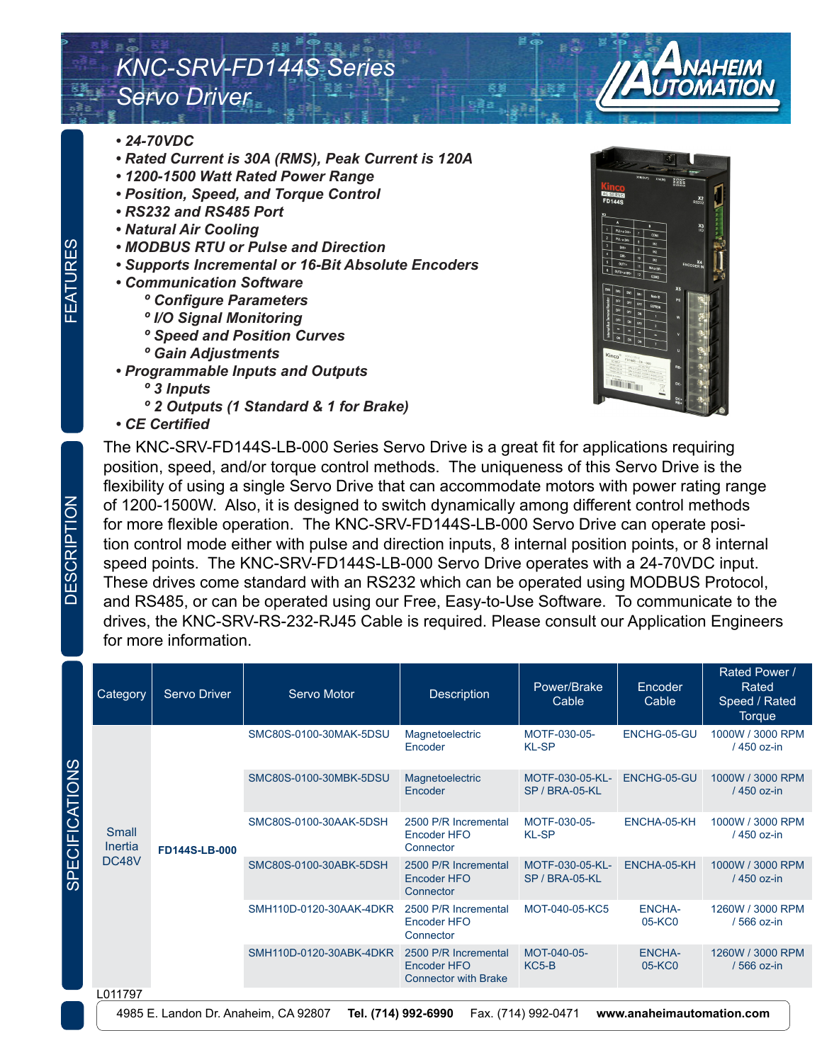## *KNC-SRV-FD144S Series Servo Driver*

- *24-70VDC*
- *Rated Current is 30A (RMS), Peak Current is 120A*
- *1200-1500 Watt Rated Power Range*
- *Position, Speed, and Torque Control*
- *RS232 and RS485 Port*
- *Natural Air Cooling*
- *MODBUS RTU or Pulse and Direction*
- *Supports Incremental or 16-Bit Absolute Encoders*
- *Communication Software*
	- *º Configure Parameters*
	- *º I/O Signal Monitoring*
	- *º Speed and Position Curves*
	- *º Gain Adjustments*
- *Programmable Inputs and Outputs*
	- *º 3 Inputs*
	- *º 2 Outputs (1 Standard & 1 for Brake)*
- *CE Certified*



The KNC-SRV-FD144S-LB-000 Series Servo Drive is a great fit for applications requiring position, speed, and/or torque control methods. The uniqueness of this Servo Drive is the flexibility of using a single Servo Drive that can accommodate motors with power rating range of 1200-1500W. Also, it is designed to switch dynamically among different control methods for more flexible operation. The KNC-SRV-FD144S-LB-000 Servo Drive can operate position control mode either with pulse and direction inputs, 8 internal position points, or 8 internal speed points. The KNC-SRV-FD144S-LB-000 Servo Drive operates with a 24-70VDC input. These drives come standard with an RS232 which can be operated using MODBUS Protocol, and RS485, or can be operated using our Free, Easy-to-Use Software. To communicate to the drives, the KNC-SRV-RS-232-RJ45 Cable is required. Please consult our Application Engineers for more information.

|            | Category                         | <b>Servo Driver</b> | Servo Motor             | <b>Description</b>                                                 | Power/Brake<br>Cable              | Encoder<br>Cable        | Rated Power /<br>Rated<br>Speed / Rated<br>Torque |
|------------|----------------------------------|---------------------|-------------------------|--------------------------------------------------------------------|-----------------------------------|-------------------------|---------------------------------------------------|
|            | <b>Small</b><br>Inertia<br>DC48V | FD144S-LB-000       | SMC80S-0100-30MAK-5DSU  | Magnetoelectric<br>Encoder                                         | MOTF-030-05-<br><b>KL-SP</b>      | ENCHG-05-GU             | 1000W / 3000 RPM<br>/ 450 oz-in                   |
| SPECIFICAT |                                  |                     | SMC80S-0100-30MBK-5DSU  | Magnetoelectric<br>Encoder                                         | MOTF-030-05-KL-<br>SP / BRA-05-KL | ENCHG-05-GU             | 1000W / 3000 RPM<br>/ 450 oz-in                   |
|            |                                  |                     | SMC80S-0100-30AAK-5DSH  | 2500 P/R Incremental<br>Encoder HFO<br>Connector                   | MOTF-030-05-<br><b>KL-SP</b>      | ENCHA-05-KH             | 1000W / 3000 RPM<br>/ 450 oz-in                   |
|            |                                  |                     | SMC80S-0100-30ABK-5DSH  | 2500 P/R Incremental<br>Encoder HFO<br>Connector                   | MOTF-030-05-KL-<br>SP / BRA-05-KL | ENCHA-05-KH             | 1000W / 3000 RPM<br>/ 450 oz-in                   |
|            |                                  |                     | SMH110D-0120-30AAK-4DKR | 2500 P/R Incremental<br>Encoder HFO<br>Connector                   | MOT-040-05-KC5                    | <b>ENCHA-</b><br>05-KC0 | 1260W / 3000 RPM<br>/ 566 oz-in                   |
|            |                                  |                     | SMH110D-0120-30ABK-4DKR | 2500 P/R Incremental<br>Encoder HFO<br><b>Connector with Brake</b> | MOT-040-05-<br>KC5-B              | <b>ENCHA-</b><br>05-KC0 | 1260W / 3000 RPM<br>/ 566 oz-in                   |
|            | L011797                          |                     |                         |                                                                    |                                   |                         |                                                   |

4985 E. Landon Dr. Anaheim, CA 92807 **Tel. (714) 992-6990** Fax. (714) 992-0471 **www.anaheimautomation.com**

SPECIFICATIONS

FEATURES

FEATURES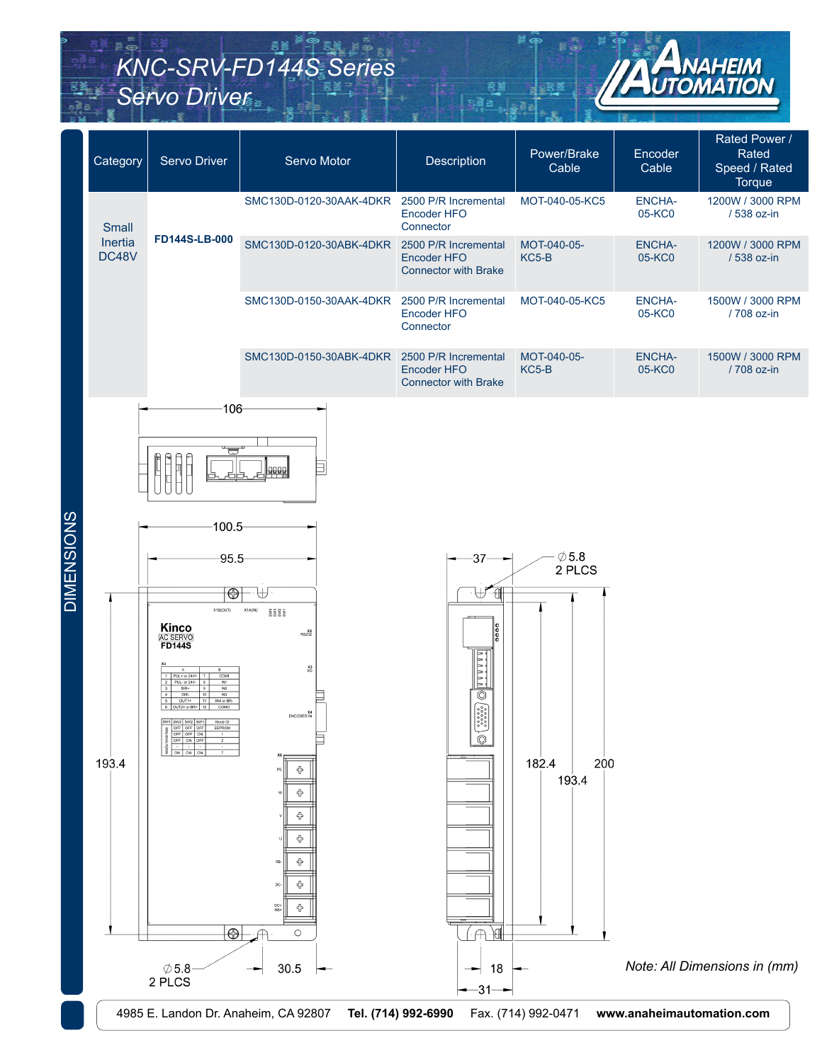# *KNC-SRV-FD144S Series Servo Driver*



|                   | Category         | Servo Driver                                                                                                                                                                                                                                                                                                        | Servo Motor                                                                                                                                                                                                                                 | Description                                                                                                                                                                                                                                                                                                                                                        | Power/Brake<br>Cable                                                      | Encoder<br>Cable          | Rated Power /<br>Rated<br>Speed / Rated<br>Torque |
|-------------------|------------------|---------------------------------------------------------------------------------------------------------------------------------------------------------------------------------------------------------------------------------------------------------------------------------------------------------------------|---------------------------------------------------------------------------------------------------------------------------------------------------------------------------------------------------------------------------------------------|--------------------------------------------------------------------------------------------------------------------------------------------------------------------------------------------------------------------------------------------------------------------------------------------------------------------------------------------------------------------|---------------------------------------------------------------------------|---------------------------|---------------------------------------------------|
|                   | Small            |                                                                                                                                                                                                                                                                                                                     | SMC130D-0120-30AAK-4DKR 2500 P/R Incremental                                                                                                                                                                                                | Encoder HFO<br>Connector                                                                                                                                                                                                                                                                                                                                           | MOT-040-05-KC5                                                            | <b>ENCHA-</b><br>05-KC0   | 1200W / 3000 RPM<br>/ 538 oz-in                   |
|                   | Inertia<br>DC48V | <b>FD144S-LB-000</b>                                                                                                                                                                                                                                                                                                | SMC130D-0120-30ABK-4DKR                                                                                                                                                                                                                     | 2500 P/R Incremental<br>Encoder HFO<br><b>Connector with Brake</b>                                                                                                                                                                                                                                                                                                 | MOT-040-05-<br>KC5-B                                                      | <b>ENCHA-</b><br>05-KC0   | 1200W / 3000 RPM<br>/ 538 oz-in                   |
|                   |                  |                                                                                                                                                                                                                                                                                                                     | SMC130D-0150-30AAK-4DKR                                                                                                                                                                                                                     | 2500 P/R Incremental<br>Encoder HFO<br>Connector                                                                                                                                                                                                                                                                                                                   | MOT-040-05-KC5                                                            | <b>ENCHA-</b><br>05-KC0   | 1500W / 3000 RPM<br>/ 708 oz-in                   |
|                   |                  |                                                                                                                                                                                                                                                                                                                     | SMC130D-0150-30ABK-4DKR                                                                                                                                                                                                                     | 2500 P/R Incremental<br><b>Encoder HFO</b><br><b>Connector with Brake</b>                                                                                                                                                                                                                                                                                          | MOT-040-05-<br>KC5-B                                                      | <b>ENCHA-</b><br>05-KC0   | 1500W / 3000 RPM<br>/ 708 oz-in                   |
| <b>DIMENSIONS</b> | 193.4            | $-106$<br>ᇦ<br>$100.5 -$<br>$-95.5$<br>$\overline{\oplus}$<br>X1B(OUT)<br><b>Kinco</b><br>AC SERVO<br><b>FD144S</b><br>PUL+ or 24V<br>PUL- or 24V-<br>$DIR+$<br>INZ<br>DIR-<br>IN3<br>OUT1+<br>IN4 or B8<br>OUT2+ or BR-<br>SW1 SW3 SW2 SW1<br>a OFF OFF OFF<br>Node ID<br>$\bigoplus$<br>$\emptyset$ 5.8<br>2 PLCS | X1A(IN)<br><b>BBBB</b><br>X <sub>2</sub> <sup>X<sub>2</sub></sup><br>$_{\rm UO}^{\rm X3}$<br>X4<br>ENCODER IN<br>╬<br>╬<br>╬<br>╬<br>⊕<br>╬<br>DC<br>$R_{\rm B+}^{\rm DC+}$<br>♧<br>$\circ$<br>30.5<br>4985 E. Landon Dr. Anaheim, CA 92807 | $-37$<br>₩₩<br>$\frac{1}{6}$<br>88888<br>$\circledcirc$<br>$\begin{bmatrix} \textbf{0} & \textbf{0} & \textbf{0} & \textbf{0} \\ \textbf{0} & \textbf{0} & \textbf{0} & \textbf{0} \\ \textbf{0} & \textbf{0} & \textbf{0} & \textbf{0} \\ \textbf{0} & \textbf{0} & \textbf{0} & \textbf{0} \end{bmatrix}$<br>$\circledcirc$<br>18<br>-31-<br>Tel. (714) 992-6990 | $\emptyset$ 5.8<br>2 PLCS<br>182.4<br>200<br>193.4<br>Fax. (714) 992-0471 | www.anaheimautomation.com | Note: All Dimensions in (mm)                      |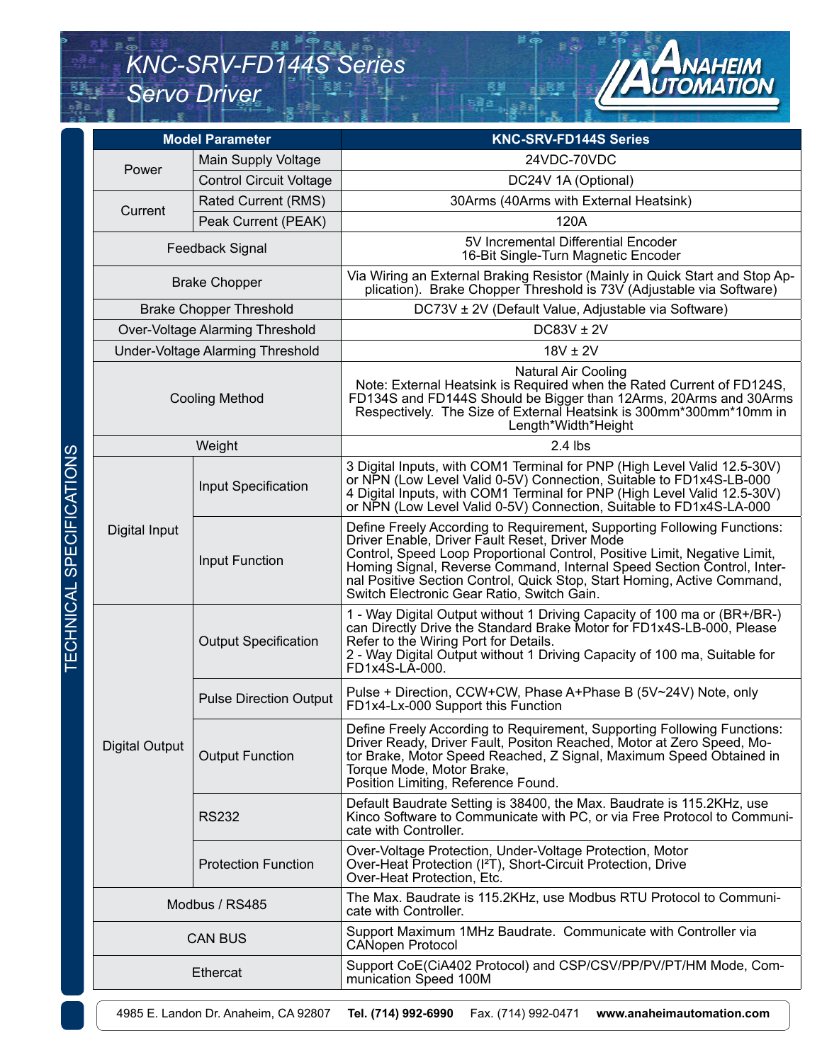### *KNC-SRV-FD144S Series Servo Driver*



|                       | <b>Model Parameter</b>           | <b>KNC-SRV-FD144S Series</b>                                                                                                                                                                                                                                                                                                                                                                              |  |  |
|-----------------------|----------------------------------|-----------------------------------------------------------------------------------------------------------------------------------------------------------------------------------------------------------------------------------------------------------------------------------------------------------------------------------------------------------------------------------------------------------|--|--|
| Power                 | Main Supply Voltage              | 24VDC-70VDC                                                                                                                                                                                                                                                                                                                                                                                               |  |  |
|                       | <b>Control Circuit Voltage</b>   | DC24V 1A (Optional)                                                                                                                                                                                                                                                                                                                                                                                       |  |  |
| Current               | <b>Rated Current (RMS)</b>       | 30Arms (40Arms with External Heatsink)                                                                                                                                                                                                                                                                                                                                                                    |  |  |
|                       | Peak Current (PEAK)              | 120A                                                                                                                                                                                                                                                                                                                                                                                                      |  |  |
|                       | Feedback Signal                  | 5V Incremental Differential Encoder<br>16-Bit Single-Turn Magnetic Encoder                                                                                                                                                                                                                                                                                                                                |  |  |
|                       | <b>Brake Chopper</b>             | Via Wiring an External Braking Resistor (Mainly in Quick Start and Stop Ap-<br>plication). Brake Chopper Threshold is 73V (Adjustable via Software)                                                                                                                                                                                                                                                       |  |  |
|                       | <b>Brake Chopper Threshold</b>   | DC73V ± 2V (Default Value, Adjustable via Software)                                                                                                                                                                                                                                                                                                                                                       |  |  |
|                       | Over-Voltage Alarming Threshold  | DC83V ± 2V                                                                                                                                                                                                                                                                                                                                                                                                |  |  |
|                       | Under-Voltage Alarming Threshold | $18V \pm 2V$                                                                                                                                                                                                                                                                                                                                                                                              |  |  |
|                       | <b>Cooling Method</b>            | <b>Natural Air Cooling</b><br>Note: External Heatsink is Required when the Rated Current of FD124S,<br>FD134S and FD144S Should be Bigger than 12Arms, 20Arms and 30Arms<br>Respectively. The Size of External Heatsink is 300mm*300mm*10mm in<br>Length*Width*Height                                                                                                                                     |  |  |
|                       | Weight                           | $2.4$ lbs                                                                                                                                                                                                                                                                                                                                                                                                 |  |  |
|                       | Input Specification              | 3 Digital Inputs, with COM1 Terminal for PNP (High Level Valid 12.5-30V)<br>or NPN (Low Level Valid 0-5V) Connection, Suitable to FD1x4S-LB-000<br>4 Digital Inputs, with COM1 Terminal for PNP (High Level Valid 12.5-30V)<br>or NPN (Low Level Valid 0-5V) Connection, Suitable to FD1x4S-LA-000                                                                                                        |  |  |
| Digital Input         | <b>Input Function</b>            | Define Freely According to Requirement, Supporting Following Functions:<br>Driver Enable, Driver Fault Reset, Driver Mode<br>Control, Speed Loop Proportional Control, Positive Limit, Negative Limit,<br>Homing Signal, Reverse Command, Internal Speed Section Control, Inter-<br>nal Positive Section Control, Quick Stop, Start Homing, Active Command,<br>Switch Electronic Gear Ratio, Switch Gain. |  |  |
|                       | <b>Output Specification</b>      | 1 - Way Digital Output without 1 Driving Capacity of 100 ma or (BR+/BR-)<br>can Directly Drive the Standard Brake Motor for FD1x4S-LB-000, Please<br>Refer to the Wiring Port for Details.<br>2 - Way Digital Output without 1 Driving Capacity of 100 ma, Suitable for<br>FD1x4S-LA-000.                                                                                                                 |  |  |
|                       | <b>Pulse Direction Output</b>    | Pulse + Direction, CCW+CW, Phase A+Phase B (5V~24V) Note, only<br>FD1x4-Lx-000 Support this Function                                                                                                                                                                                                                                                                                                      |  |  |
| <b>Digital Output</b> | <b>Output Function</b>           | Define Freely According to Requirement, Supporting Following Functions:<br>Driver Ready, Driver Fault, Positon Reached, Motor at Zero Speed, Mo-<br>tor Brake, Motor Speed Reached, Z Signal, Maximum Speed Obtained in<br>Torque Mode, Motor Brake,<br>Position Limiting, Reference Found.                                                                                                               |  |  |
|                       | <b>RS232</b>                     | Default Baudrate Setting is 38400, the Max. Baudrate is 115.2KHz, use<br>Kinco Software to Communicate with PC, or via Free Protocol to Communi-<br>cate with Controller.                                                                                                                                                                                                                                 |  |  |
|                       | <b>Protection Function</b>       | Over-Voltage Protection, Under-Voltage Protection, Motor<br>Over-Heat Protection (I <sup>2</sup> T), Short-Circuit Protection, Drive<br>Over-Heat Protection, Etc.                                                                                                                                                                                                                                        |  |  |
|                       | Modbus / RS485                   | The Max. Baudrate is 115.2KHz, use Modbus RTU Protocol to Communi-<br>cate with Controller.                                                                                                                                                                                                                                                                                                               |  |  |
|                       | <b>CAN BUS</b>                   | Support Maximum 1MHz Baudrate. Communicate with Controller via<br><b>CANopen Protocol</b>                                                                                                                                                                                                                                                                                                                 |  |  |
|                       | Ethercat                         | Support CoE(CiA402 Protocol) and CSP/CSV/PP/PV/PT/HM Mode, Com-<br>munication Speed 100M                                                                                                                                                                                                                                                                                                                  |  |  |

4985 E. Landon Dr. Anaheim, CA 92807 **Tel. (714) 992-6990** Fax. (714) 992-0471 **www.anaheimautomation.com**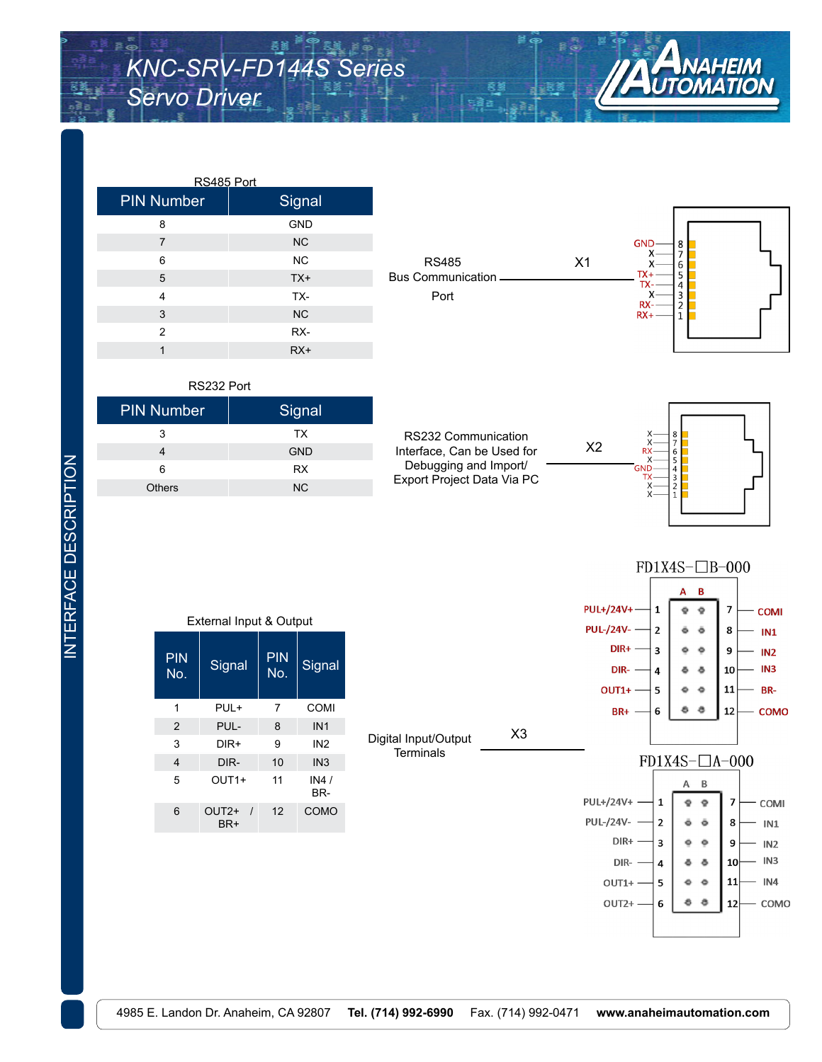

| <b>PIN Number</b> | Signal     |
|-------------------|------------|
| 8                 | <b>GND</b> |
| 7                 | NC         |
| 6                 | <b>NC</b>  |
| 5                 | $TX+$      |
| $\overline{4}$    | TX-        |
| 3                 | <b>NC</b>  |
| $\overline{2}$    | RX-        |
| 1                 | $RX+$      |



X2

| RS232 Port        |            |  |
|-------------------|------------|--|
| <b>PIN Number</b> | Signal     |  |
| 3                 | TX         |  |
|                   | <b>GND</b> |  |
| 6                 | <b>RX</b>  |  |
| <b>Others</b>     | <b>NC</b>  |  |







| External Input & Output |                                      |    |                 |  |  |
|-------------------------|--------------------------------------|----|-----------------|--|--|
| PIN<br>No.              | Signal                               |    | <b>Signal</b>   |  |  |
| 1                       | PUL+                                 | 7  | COMI            |  |  |
| $\overline{2}$          | PUL-                                 | 8  | IN <sub>1</sub> |  |  |
| 3                       | DIR+                                 | 9  | IN <sub>2</sub> |  |  |
| $\overline{4}$          | DIR-                                 |    | IN <sub>3</sub> |  |  |
| 5                       | $OUT1+$                              | 11 | IN4 /<br>BR-    |  |  |
| 6                       | OUT <sub>2+</sub><br>$\prime$<br>BR+ | 12 | COMO            |  |  |

INTERFACE DESCRIPTION

**INTERFACE DESCRIPTION** 

**Terminals**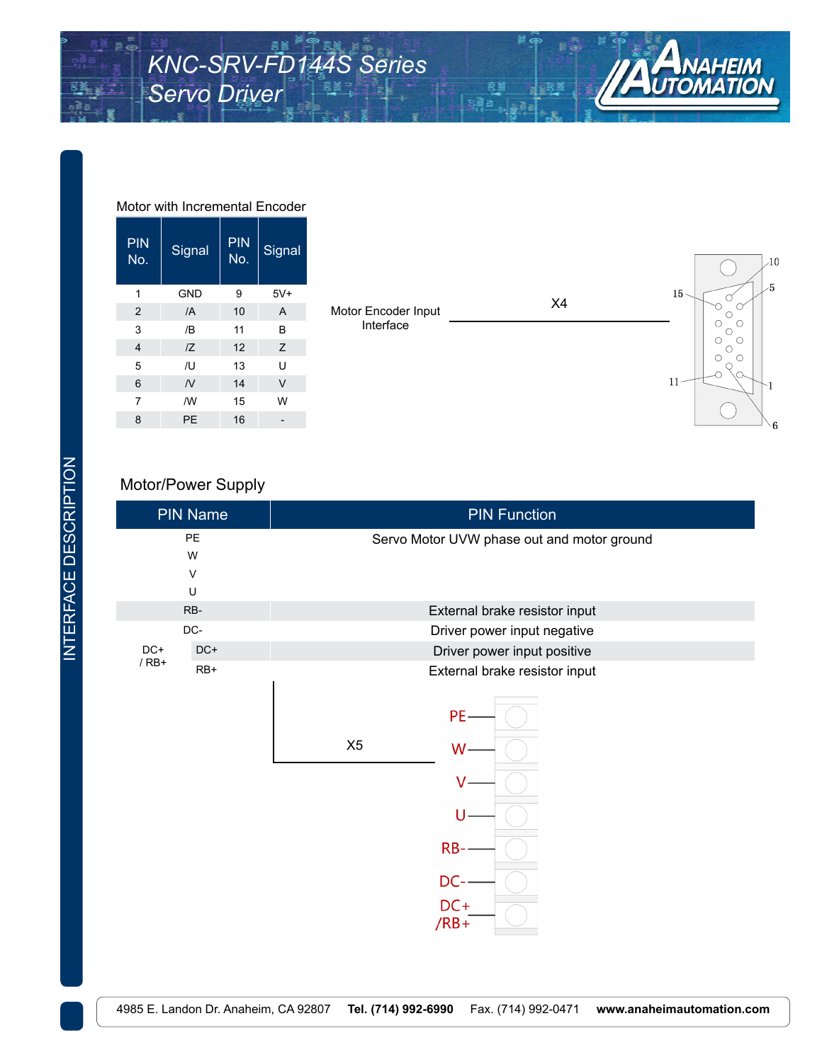

| <b>PIN</b><br>No. | Signal         | <b>PIN</b><br>No. | Signal         |
|-------------------|----------------|-------------------|----------------|
| 1                 | <b>GND</b>     | 9                 | $5V+$          |
| $\overline{2}$    | $\overline{A}$ | 10                | $\overline{A}$ |
| 3                 | /B             | 11                | B              |
| $\overline{4}$    | IZ             | 12                | Z              |
| 5                 | /U             | 13                | Ù              |
| 6                 | $\overline{N}$ | 14                | $\vee$         |
| $\overline{7}$    | /W             | 15                | W              |
| 8                 | PE             | 16                |                |

#### Motor with Incremental Encoder



#### Motor/Power Supply

| <b>PIN Name</b>        |       | <b>PIN Function</b>                                                              |  |  |
|------------------------|-------|----------------------------------------------------------------------------------|--|--|
| PE<br>W<br>$\vee$<br>U |       | Servo Motor UVW phase out and motor ground                                       |  |  |
|                        | RB-   | External brake resistor input                                                    |  |  |
|                        | DC-   | Driver power input negative                                                      |  |  |
| $DC+$<br>$/$ RB+       | $DC+$ | Driver power input positive                                                      |  |  |
|                        | $RB+$ | External brake resistor input<br>PE-<br>X5<br>W<br>RB-<br>DC-<br>$DC+$<br>$/RB+$ |  |  |